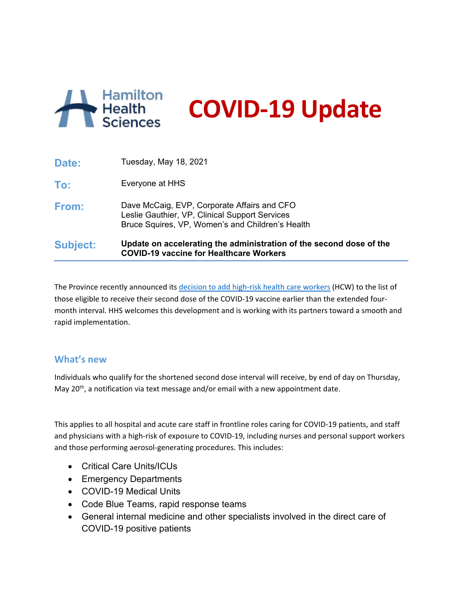

**COVID-19 Update**

| <b>Subject:</b> | Update on accelerating the administration of the second dose of the<br><b>COVID-19 vaccine for Healthcare Workers</b>                             |
|-----------------|---------------------------------------------------------------------------------------------------------------------------------------------------|
| From:           | Dave McCaig, EVP, Corporate Affairs and CFO<br>Leslie Gauthier, VP, Clinical Support Services<br>Bruce Squires, VP, Women's and Children's Health |
| To:             | Everyone at HHS                                                                                                                                   |
| Date:           | Tuesday, May 18, 2021                                                                                                                             |

The Province recently announced its [decision to add high-risk health care workers](https://news.ontario.ca/en/backgrounder/1000089/high-risk-health-care-workers-eligible-to-receive-a-second-dose-of-the-covid-19-vaccine-at-a-shortened-interval) (HCW) to the list of those eligible to receive their second dose of the COVID-19 vaccine earlier than the extended fourmonth interval. HHS welcomes this development and is working with its partners toward a smooth and rapid implementation.

## **What's new**

Individuals who qualify for the shortened second dose interval will receive, by end of day on Thursday, May 20<sup>th</sup>, a notification via text message and/or email with a new appointment date.

This applies to all hospital and acute care staff in frontline roles caring for COVID-19 patients, and staff and physicians with a high-risk of exposure to COVID-19, including nurses and personal support workers and those performing aerosol-generating procedures. This includes:

- Critical Care Units/ICUs
- Emergency Departments
- COVID-19 Medical Units
- Code Blue Teams, rapid response teams
- General internal medicine and other specialists involved in the direct care of COVID-19 positive patients